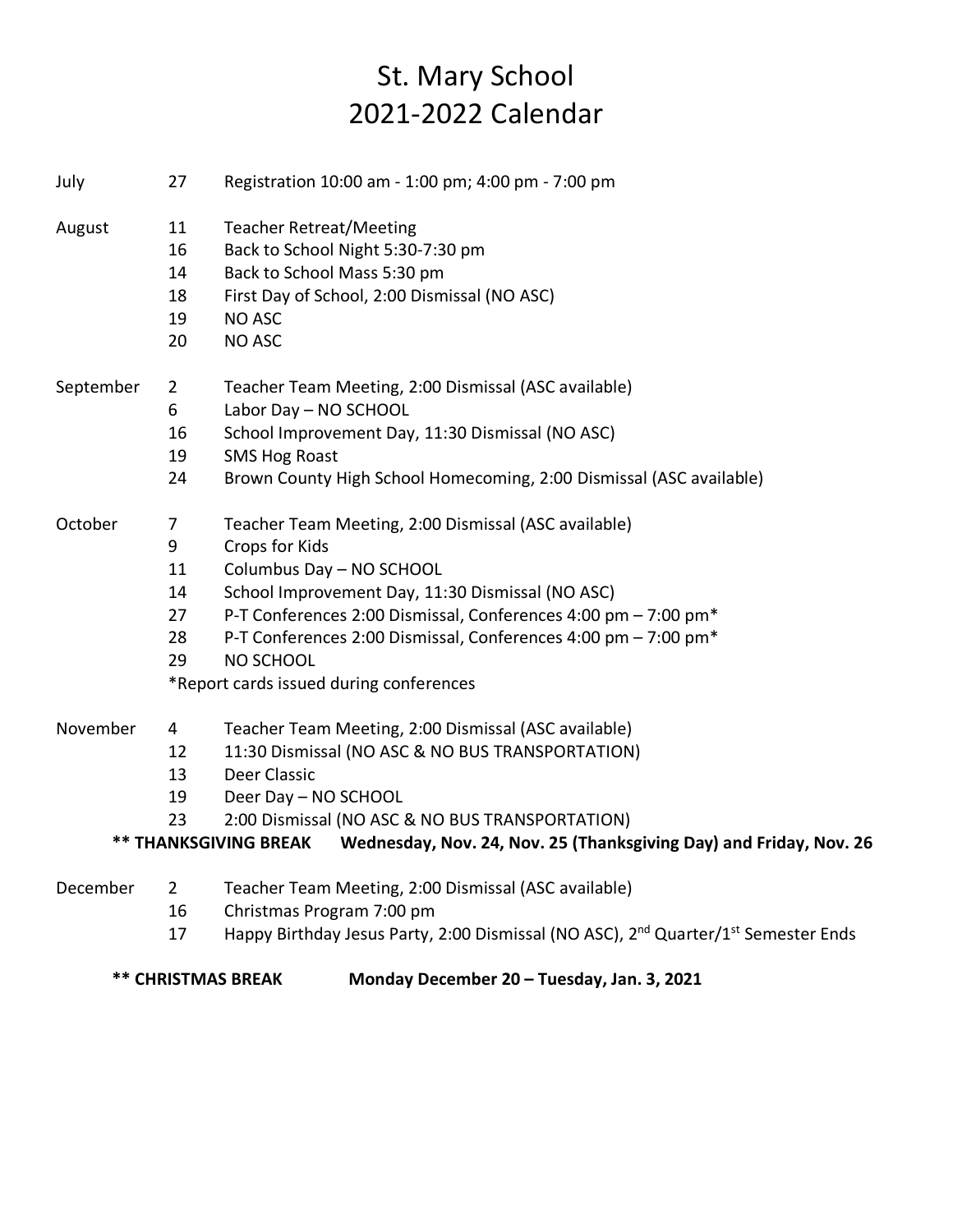## St. Mary School 2021-2022 Calendar

| July      | 27             | Registration 10:00 am - 1:00 pm; 4:00 pm - 7:00 pm                                                         |
|-----------|----------------|------------------------------------------------------------------------------------------------------------|
| August    | 11             | <b>Teacher Retreat/Meeting</b>                                                                             |
|           | 16             | Back to School Night 5:30-7:30 pm                                                                          |
|           | 14             | Back to School Mass 5:30 pm                                                                                |
|           | 18             | First Day of School, 2:00 Dismissal (NO ASC)                                                               |
|           | 19             | NO ASC                                                                                                     |
|           | 20             | <b>NO ASC</b>                                                                                              |
| September | $\overline{2}$ | Teacher Team Meeting, 2:00 Dismissal (ASC available)                                                       |
|           | 6              | Labor Day - NO SCHOOL                                                                                      |
|           | 16             | School Improvement Day, 11:30 Dismissal (NO ASC)                                                           |
|           | 19             | <b>SMS Hog Roast</b>                                                                                       |
|           | 24             | Brown County High School Homecoming, 2:00 Dismissal (ASC available)                                        |
| October   | 7              | Teacher Team Meeting, 2:00 Dismissal (ASC available)                                                       |
|           | 9              | Crops for Kids                                                                                             |
|           | 11             | Columbus Day - NO SCHOOL                                                                                   |
|           | 14             | School Improvement Day, 11:30 Dismissal (NO ASC)                                                           |
|           | 27             | P-T Conferences 2:00 Dismissal, Conferences 4:00 pm - 7:00 pm <sup>*</sup>                                 |
|           | 28             | P-T Conferences 2:00 Dismissal, Conferences 4:00 pm - 7:00 pm <sup>*</sup>                                 |
|           | 29             | NO SCHOOL                                                                                                  |
|           |                | *Report cards issued during conferences                                                                    |
| November  | 4              | Teacher Team Meeting, 2:00 Dismissal (ASC available)                                                       |
|           | 12             | 11:30 Dismissal (NO ASC & NO BUS TRANSPORTATION)                                                           |
|           | 13             | Deer Classic                                                                                               |
|           | 19             | Deer Day - NO SCHOOL                                                                                       |
|           | 23             | 2:00 Dismissal (NO ASC & NO BUS TRANSPORTATION)                                                            |
|           |                | <b>** THANKSGIVING BREAK</b><br>Wednesday, Nov. 24, Nov. 25 (Thanksgiving Day) and Friday, Nov. 26         |
| December  | $2^{\circ}$    | Teacher Team Meeting, 2:00 Dismissal (ASC available)                                                       |
|           | 16             | Christmas Program 7:00 pm                                                                                  |
|           | 17             | Happy Birthday Jesus Party, 2:00 Dismissal (NO ASC), 2 <sup>nd</sup> Quarter/1 <sup>st</sup> Semester Ends |

## **\*\* CHRISTMAS BREAK Monday December 20 – Tuesday, Jan. 3, 2021**